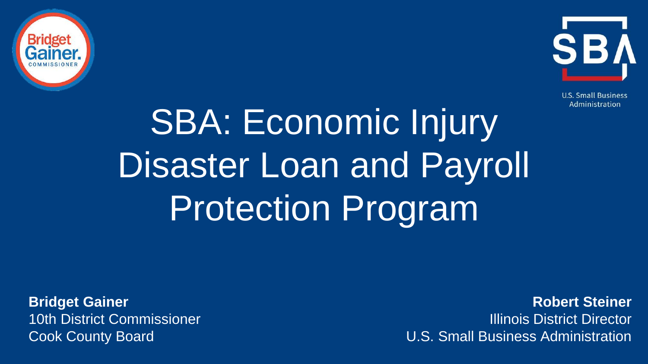



**U.S. Small Business** Administration

# SBA: Economic Injury Disaster Loan and Payroll Protection Program

**Bridget Gainer** 10th District Commissioner Cook County Board

**Robert Steiner** Illinois District Director U.S. Small Business Administration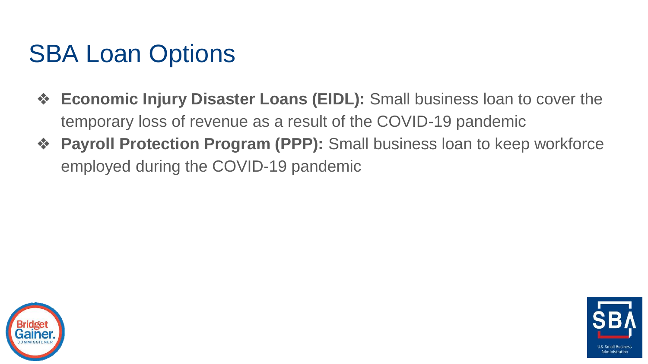### SBA Loan Options

- ❖ **Economic Injury Disaster Loans (EIDL):** Small business loan to cover the temporary loss of revenue as a result of the COVID-19 pandemic
- ❖ **Payroll Protection Program (PPP):** Small business loan to keep workforce employed during the COVID-19 pandemic



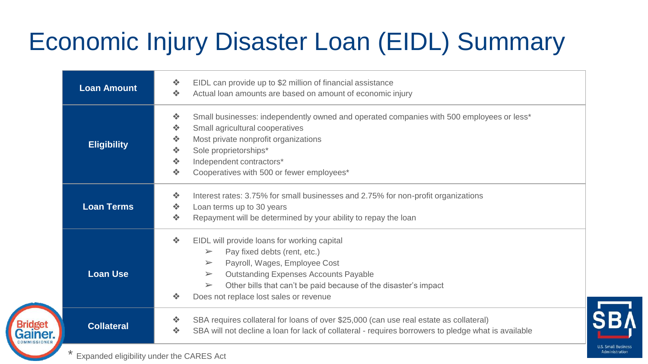## Economic Injury Disaster Loan (EIDL) Summary

| <b>Loan Amount</b> | 泰<br>EIDL can provide up to \$2 million of financial assistance<br>Actual loan amounts are based on amount of economic injury<br>÷                                                                                                                                                                                                                                                      |
|--------------------|-----------------------------------------------------------------------------------------------------------------------------------------------------------------------------------------------------------------------------------------------------------------------------------------------------------------------------------------------------------------------------------------|
| <b>Eligibility</b> | Small businesses: independently owned and operated companies with 500 employees or less*<br>÷<br>Small agricultural cooperatives<br>÷<br>壘<br>Most private nonprofit organizations<br>Sole proprietorships*<br>壘<br>壘<br>Independent contractors*<br>Cooperatives with 500 or fewer employees*<br>÷                                                                                     |
| <b>Loan Terms</b>  | Interest rates: 3.75% for small businesses and 2.75% for non-profit organizations<br>÷<br>Loan terms up to 30 years<br>÷<br>Repayment will be determined by your ability to repay the loan<br>÷                                                                                                                                                                                         |
| <b>Loan Use</b>    | EIDL will provide loans for working capital<br>泰<br>Pay fixed debts (rent, etc.)<br>$\blacktriangleright$<br>Payroll, Wages, Employee Cost<br>$\blacktriangleright$<br><b>Outstanding Expenses Accounts Payable</b><br>$\blacktriangleright$<br>Other bills that can't be paid because of the disaster's impact<br>$\blacktriangleright$<br>Does not replace lost sales or revenue<br>❖ |
| <b>Collateral</b>  | SBA requires collateral for loans of over \$25,000 (can use real estate as collateral)<br>泰<br>SBA will not decline a loan for lack of collateral - requires borrowers to pledge what is available<br>泰                                                                                                                                                                                 |

**U.S. Small Business** Administration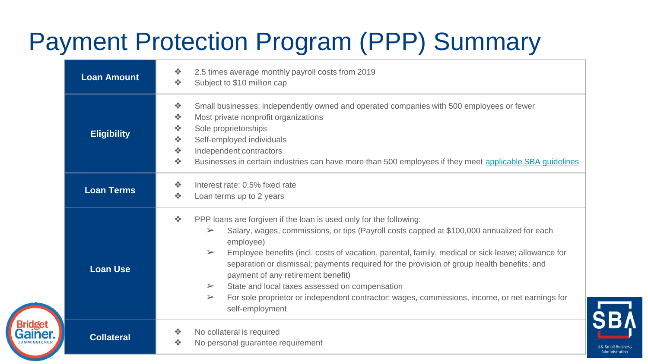## Payment Protection Program (PPP) Summary

| <b>Loan Amount</b> | 2.5 times average monthly payroll costs from 2019<br>泰<br>Subject to \$10 million cap<br>泰                                                                                                                                                                                                                                                                                                                                                                                                                                                                                                                                                                                                                                        |
|--------------------|-----------------------------------------------------------------------------------------------------------------------------------------------------------------------------------------------------------------------------------------------------------------------------------------------------------------------------------------------------------------------------------------------------------------------------------------------------------------------------------------------------------------------------------------------------------------------------------------------------------------------------------------------------------------------------------------------------------------------------------|
| <b>Eligibility</b> | 泰<br>Small businesses: independently owned and operated companies with 500 employees or fewer<br>泰<br>Most private nonprofit organizations<br>泰<br>Sole proprietorships<br>泰<br>Self-employed individuals<br>泰<br>Independent contractors<br>Businesses in certain industries can have more than 500 employees if they meet applicable SBA guidelines<br>泰                                                                                                                                                                                                                                                                                                                                                                        |
| <b>Loan Terms</b>  | 泰<br>Interest rate: 0.5% fixed rate<br>泰<br>Loan terms up to 2 years                                                                                                                                                                                                                                                                                                                                                                                                                                                                                                                                                                                                                                                              |
| <b>Loan Use</b>    | $\mathcal{L}_{\mathcal{S}}$<br>PPP loans are forgiven if the loan is used only for the following:<br>Salary, wages, commissions, or tips (Payroll costs capped at \$100,000 annualized for each<br>$\blacktriangleright$<br>employee)<br>Employee benefits (incl. costs of vacation, parental, family, medical or sick leave; allowance for<br>$\blacktriangleright$<br>separation or dismissal; payments required for the provision of group health benefits; and<br>payment of any retirement benefit)<br>State and local taxes assessed on compensation<br>$\blacktriangleright$<br>For sole proprietor or independent contractor: wages, commissions, income, or net earnings for<br>$\blacktriangleright$<br>self-employment |
| <b>Collateral</b>  | No collateral is required<br>泰<br>No personal guarantee requirement<br>❖                                                                                                                                                                                                                                                                                                                                                                                                                                                                                                                                                                                                                                                          |

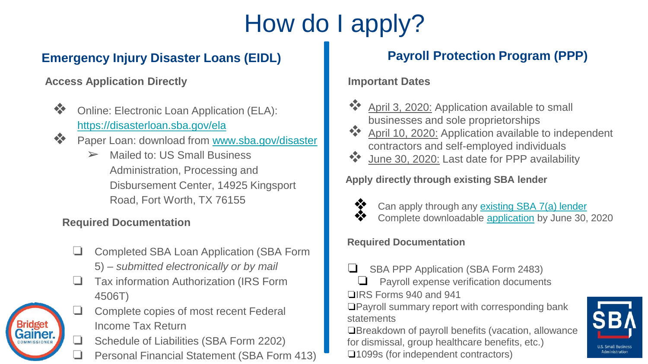## How do I apply?

### **Emergency Injury Disaster Loans (EIDL) Payroll Protection Program (PPP)**

**Access Application Directly**

- ❖ Online: Electronic Loan Application (ELA): <https://disasterloan.sba.gov/ela>
- ❖ Paper Loan: download from [www.sba.gov/disaster](http://www.sba.gov/disaster)
	- $\triangleright$  Mailed to: US Small Business Administration, Processing and Disbursement Center, 14925 Kingsport Road, Fort Worth, TX 76155

#### **Required Documentation**

- ❏ Completed SBA Loan Application (SBA Form 5) – *submitted electronically or by mail*
- ❏ Tax information Authorization (IRS Form 4506T)
- ❏ Complete copies of most recent Federal Income Tax Return
	- ❏ Schedule of Liabilities (SBA Form 2202)
	- ❏ Personal Financial Statement (SBA Form 413)

#### **Important Dates**

- ❖ April 3, 2020: Application available to small businesses and sole proprietorships
- ❖ April 10, 2020: Application available to independent contractors and self-employed individuals
- ❖ June 30, 2020: Last date for PPP availability

**Apply directly through existing SBA lender**



- Can apply through any [existing SBA 7\(a\) lender](https://www.sba.gov/article/2020/mar/02/100-most-active-sba-7a-lenders)
- ❖ Complete downloadable [application](https://home.treasury.gov/system/files/136/Paycheck-Protection-Program-Application-3-30-2020-v3.pdf) by June 30, 2020

#### **Required Documentation**

- SBA PPP Application (SBA Form 2483)
- ❏ Payroll expense verification documents ❏IRS Forms 940 and 941

❏Payroll summary report with corresponding bank statements

❏Breakdown of payroll benefits (vacation, allowance for dismissal, group healthcare benefits, etc.)

❏1099s (for independent contractors)



Administration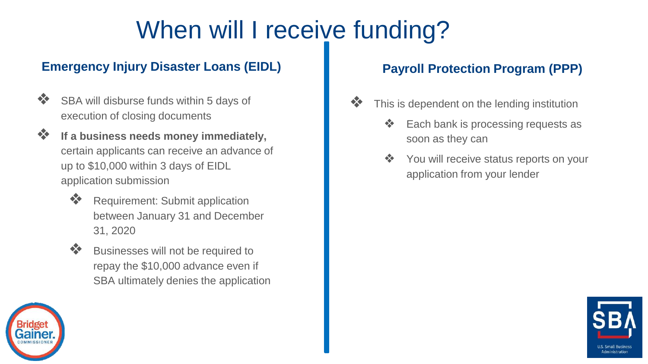### When will I receive funding?

### **Emergency Injury Disaster Loans (EIDL) Payroll Protection Program (PPP)**

- ❖ SBA will disburse funds within 5 days of execution of closing documents
- ❖ **If a business needs money immediately,**  certain applicants can receive an advance of up to \$10,000 within 3 days of EIDL application submission
	- ❖ Requirement: Submit application between January 31 and December 31, 2020
	- ❖ Businesses will not be required to repay the \$10,000 advance even if SBA ultimately denies the application

- ❖ This is dependent on the lending institution
	- Each bank is processing requests as soon as they can
	- ❖ You will receive status reports on your application from your lender



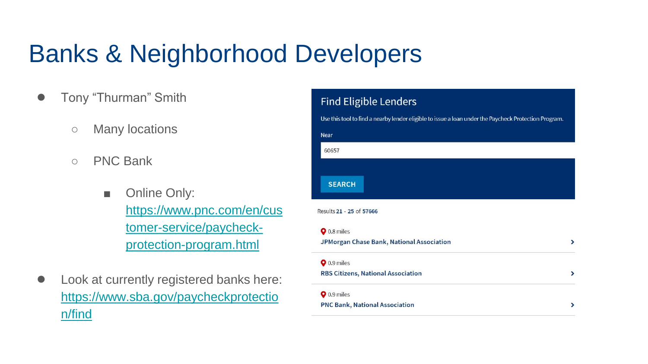### Banks & Neighborhood Developers

- Tony "Thurman" Smith
	- Many locations
	- PNC Bank
		- Online Only: [https://www.pnc.com/en/cus](https://www.pnc.com/en/customer-service/paycheck-protection-program.html) tomer-service/paycheckprotection-program.html
- Look at currently registered banks here: [https://www.sba.gov/paycheckprotectio](https://www.sba.gov/paycheckprotection/find) n/find